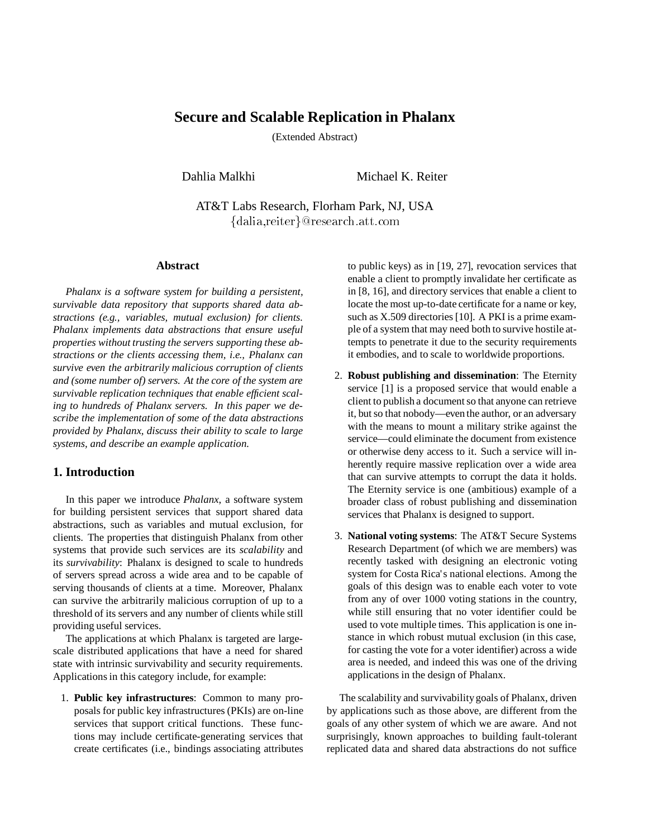# **Secure and Scalable Replication in Phalanx**

(Extended Abstract)

Dahlia Malkhi Michael K. Reiter

AT&T Labs Research, Florham Park, NJ, USA fdalia,reiterg@research.att.com

#### **Abstract**

*Phalanx is a software system for building a persistent, survivable data repository that supports shared data abstractions (e.g., variables, mutual exclusion) for clients. Phalanx implements data abstractions that ensure useful properties without trusting the servers supporting these abstractions or the clients accessing them, i.e., Phalanx can survive even the arbitrarily malicious corruption of clients and (some number of) servers. At the core of the system are survivable replication techniques that enable efficient scaling to hundreds of Phalanx servers. In this paper we describe the implementation of some of the data abstractions provided by Phalanx, discuss their ability to scale to large systems, and describe an example application.*

# **1. Introduction**

In this paper we introduce *Phalanx*, a software system for building persistent services that support shared data abstractions, such as variables and mutual exclusion, for clients. The properties that distinguish Phalanx from other systems that provide such services are its *scalability* and its *survivability*: Phalanx is designed to scale to hundreds of servers spread across a wide area and to be capable of serving thousands of clients at a time. Moreover, Phalanx can survive the arbitrarily malicious corruption of up to a threshold of its servers and any number of clients while still providing useful services.

The applications at which Phalanx is targeted are largescale distributed applications that have a need for shared state with intrinsic survivability and security requirements. Applications in this category include, for example:

1. **Public key infrastructures**: Common to many proposals for public key infrastructures (PKIs) are on-line services that support critical functions. These functions may include certificate-generating services that create certificates (i.e., bindings associating attributes to public keys) as in [19, 27], revocation services that enable a client to promptly invalidate her certificate as in [8, 16], and directory services that enable a client to locate the most up-to-date certificate for a name or key, such as X.509 directories [10]. A PKI is a prime example of a system that may need both to survive hostile attempts to penetrate it due to the security requirements it embodies, and to scale to worldwide proportions.

- 2. **Robust publishing and dissemination**: The Eternity service [1] is a proposed service that would enable a client to publish a document so that anyone can retrieve it, but so that nobody—even the author, or an adversary with the means to mount a military strike against the service—could eliminate the document from existence or otherwise deny access to it. Such a service will inherently require massive replication over a wide area that can survive attempts to corrupt the data it holds. The Eternity service is one (ambitious) example of a broader class of robust publishing and dissemination services that Phalanx is designed to support.
- 3. **National voting systems**: The AT&T Secure Systems Research Department (of which we are members) was recently tasked with designing an electronic voting system for Costa Rica's national elections. Among the goals of this design was to enable each voter to vote from any of over 1000 voting stations in the country, while still ensuring that no voter identifier could be used to vote multiple times. This application is one instance in which robust mutual exclusion (in this case, for casting the vote for a voter identifier) across a wide area is needed, and indeed this was one of the driving applications in the design of Phalanx.

The scalability and survivabilitygoals of Phalanx, driven by applications such as those above, are different from the goals of any other system of which we are aware. And not surprisingly, known approaches to building fault-tolerant replicated data and shared data abstractions do not suffice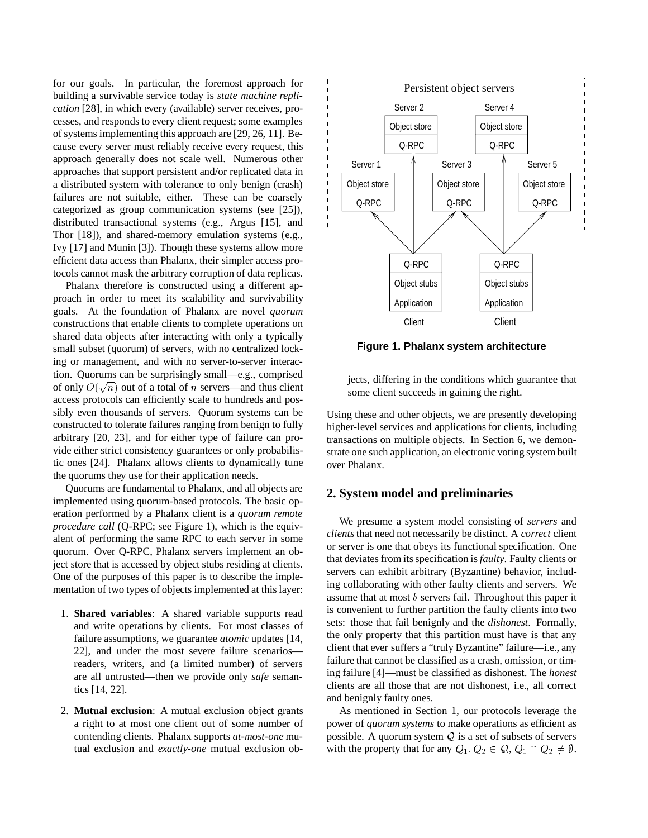for our goals. In particular, the foremost approach for building a survivable service today is *state machine replication* [28], in which every (available) server receives, processes, and responds to every client request; some examples of systems implementing this approach are [29, 26, 11]. Because every server must reliably receive every request, this approach generally does not scale well. Numerous other approaches that support persistent and/or replicated data in a distributed system with tolerance to only benign (crash) failures are not suitable, either. These can be coarsely categorized as group communication systems (see [25]), distributed transactional systems (e.g., Argus [15], and Thor [18]), and shared-memory emulation systems (e.g., Ivy [17] and Munin [3]). Though these systems allow more efficient data access than Phalanx, their simpler access protocols cannot mask the arbitrary corruption of data replicas.

Phalanx therefore is constructed using a different approach in order to meet its scalability and survivability goals. At the foundation of Phalanx are novel *quorum* constructions that enable clients to complete operations on shared data objects after interacting with only a typically small subset (quorum) of servers, with no centralized locking or management, and with no server-to-server interaction. Quorums can be surprisingly small—e.g., comprised of only  $O(\sqrt{n})$  out of a total of *n* servers—and thus client access protocols can efficiently scale to hundreds and possibly even thousands of servers. Quorum systems can be constructed to tolerate failures ranging from benign to fully arbitrary [20, 23], and for either type of failure can provide either strict consistency guarantees or only probabilistic ones [24]. Phalanx allows clients to dynamically tune the quorums they use for their application needs.

Quorums are fundamental to Phalanx, and all objects are implemented using quorum-based protocols. The basic operation performed by a Phalanx client is a *quorum remote procedure call* (Q-RPC; see Figure 1), which is the equivalent of performing the same RPC to each server in some quorum. Over Q-RPC, Phalanx servers implement an object store that is accessed by object stubs residing at clients. One of the purposes of this paper is to describe the implementation of two types of objects implemented at this layer:

- 1. **Shared variables**: A shared variable supports read and write operations by clients. For most classes of failure assumptions, we guarantee *atomic* updates [14, 22], and under the most severe failure scenarios readers, writers, and (a limited number) of servers are all untrusted—then we provide only *safe* semantics [14, 22].
- 2. **Mutual exclusion**: A mutual exclusion object grants a right to at most one client out of some number of contending clients. Phalanx supports *at-most-one* mutual exclusion and *exactly-one* mutual exclusion ob-



**Figure 1. Phalanx system architecture**

jects, differing in the conditions which guarantee that some client succeeds in gaining the right.

Using these and other objects, we are presently developing higher-level services and applications for clients, including transactions on multiple objects. In Section 6, we demonstrate one such application, an electronic voting system built over Phalanx.

# **2. System model and preliminaries**

We presume a system model consisting of *servers* and *clients*that need not necessarily be distinct. A *correct* client or server is one that obeys its functional specification. One that deviates from its specification is*faulty*. Faulty clients or servers can exhibit arbitrary (Byzantine) behavior, including collaborating with other faulty clients and servers. We assume that at most  $b$  servers fail. Throughout this paper it is convenient to further partition the faulty clients into two sets: those that fail benignly and the *dishonest*. Formally, the only property that this partition must have is that any client that ever suffers a "truly Byzantine" failure—i.e., any failure that cannot be classified as a crash, omission, or timing failure [4]—must be classified as dishonest. The *honest* clients are all those that are not dishonest, i.e., all correct and benignly faulty ones.

As mentioned in Section 1, our protocols leverage the power of *quorum systems* to make operations as efficient as possible. A quorum system  $Q$  is a set of subsets of servers with the property that for any  $Q_1, Q_2 \in \mathcal{Q}, Q_1 \cap Q_2 \neq \emptyset$ .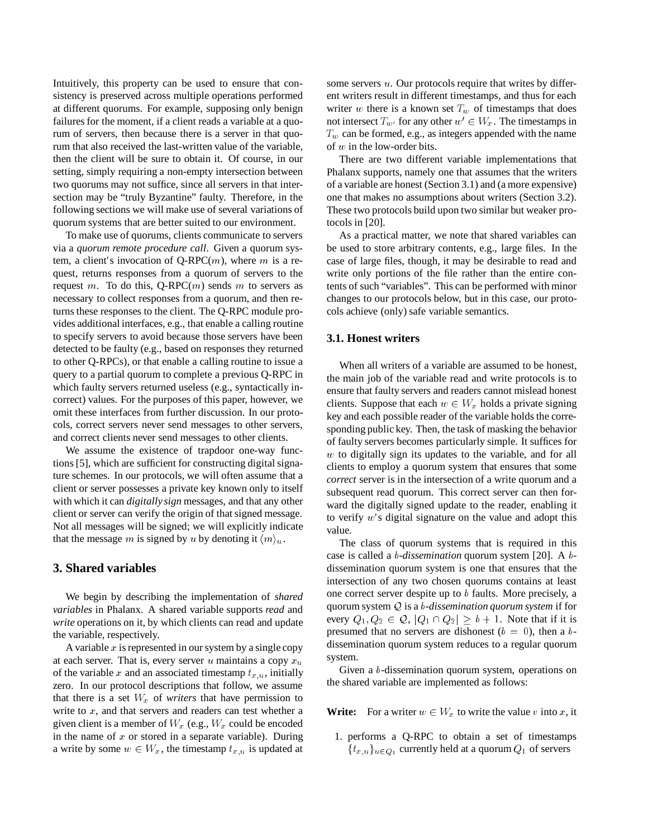Intuitively, this property can be used to ensure that consistency is preserved across multiple operations performed at different quorums. For example, supposing only benign failures for the moment, if a client reads a variable at a quorum of servers, then because there is a server in that quorum that also received the last-written value of the variable, then the client will be sure to obtain it. Of course, in our setting, simply requiring a non-empty intersection between two quorums may not suffice, since all servers in that intersection may be "truly Byzantine" faulty. Therefore, in the following sections we will make use of several variations of quorum systems that are better suited to our environment.

To make use of quorums, clients communicate to servers via a *quorum remote procedure call*. Given a quorum system, a client's invocation of  $Q-RPC(m)$ , where m is a request, returns responses from a quorum of servers to the request m. To do this,  $Q-RPC(m)$  sends m to servers as necessary to collect responses from a quorum, and then returns these responses to the client. The Q-RPC module provides additional interfaces, e.g., that enable a calling routine to specify servers to avoid because those servers have been detected to be faulty (e.g., based on responses they returned to other Q-RPCs), or that enable a calling routine to issue a query to a partial quorum to complete a previous Q-RPC in which faulty servers returned useless (e.g., syntactically incorrect) values. For the purposes of this paper, however, we omit these interfaces from further discussion. In our protocols, correct servers never send messages to other servers, and correct clients never send messages to other clients.

We assume the existence of trapdoor one-way functions [5], which are sufficient for constructing digital signature schemes. In our protocols, we will often assume that a client or server possesses a private key known only to itself with which it can *digitally sign* messages, and that any other client or server can verify the origin of that signed message. Not all messages will be signed; we will explicitly indicate that the message m is signed by u by denoting it  $\langle m \rangle_u$ .

# **3. Shared variables**

We begin by describing the implementation of *shared variables* in Phalanx. A shared variable supports *read* and *write* operations on it, by which clients can read and update the variable, respectively.

A variable  $x$  is represented in our system by a single copy at each server. That is, every server u maintains a copy  $x_u$ of the variable x and an associated timestamp  $t_{x,u}$ , initially zero. In our protocol descriptions that follow, we assume that there is a set  $W_x$  of *writers* that have permission to write to  $x$ , and that servers and readers can test whether a given client is a member of  $W_x$  (e.g.,  $W_x$  could be encoded in the name of  $x$  or stored in a separate variable). During a write by some  $w \in W_x$ , the timestamp  $t_{x,u}$  is updated at

some servers u. Our protocols require that writes by different writers result in different timestamps, and thus for each writer w there is a known set  $T_w$  of timestamps that does not intersect  $T_{w'}$  for any other  $w' \in W_x$ . The timestamps in  $T_w$  can be formed, e.g., as integers appended with the name of  $w$  in the low-order bits.

There are two different variable implementations that Phalanx supports, namely one that assumes that the writers of a variable are honest (Section 3.1) and (a more expensive) one that makes no assumptions about writers (Section 3.2). These two protocols build upon two similar but weaker protocols in [20].

As a practical matter, we note that shared variables can be used to store arbitrary contents, e.g., large files. In the case of large files, though, it may be desirable to read and write only portions of the file rather than the entire contents of such "variables". This can be performed with minor changes to our protocols below, but in this case, our protocols achieve (only) safe variable semantics.

## **3.1. Honest writers**

When all writers of a variable are assumed to be honest, the main job of the variable read and write protocols is to ensure that faulty servers and readers cannot mislead honest clients. Suppose that each  $w \in W_x$  holds a private signing key and each possible reader of the variable holds the corresponding public key. Then, the task of masking the behavior of faulty servers becomes particularly simple. It suffices for w to digitally sign its updates to the variable, and for all clients to employ a quorum system that ensures that some *correct* server is in the intersection of a write quorum and a subsequent read quorum. This correct server can then forward the digitally signed update to the reader, enabling it to verify  $w$ 's digital signature on the value and adopt this value.

The class of quorum systems that is required in this case is called a <sup>b</sup>*-dissemination* quorum system [20]. A <sup>b</sup>dissemination quorum system is one that ensures that the intersection of any two chosen quorums contains at least one correct server despite up to  $b$  faults. More precisely, a quorum system <sup>Q</sup> is a <sup>b</sup>*-dissemination quorum system* if for every  $Q_1, Q_2 \in \mathcal{Q}, |Q_1 \cap Q_2| \geq b + 1$ . Note that if it is presumed that no servers are dishonest  $(b = 0)$ , then a bdissemination quorum system reduces to a regular quorum system.

Given a <sup>b</sup>-dissemination quorum system, operations on the shared variable are implemented as follows:

**Write:** For a writer  $w \in W_x$  to write the value v into x, it

1. performs a Q-RPC to obtain a set of timestamps  ${t_{x,u}}_{u \in Q_1}$  currently held at a quorum  $Q_1$  of servers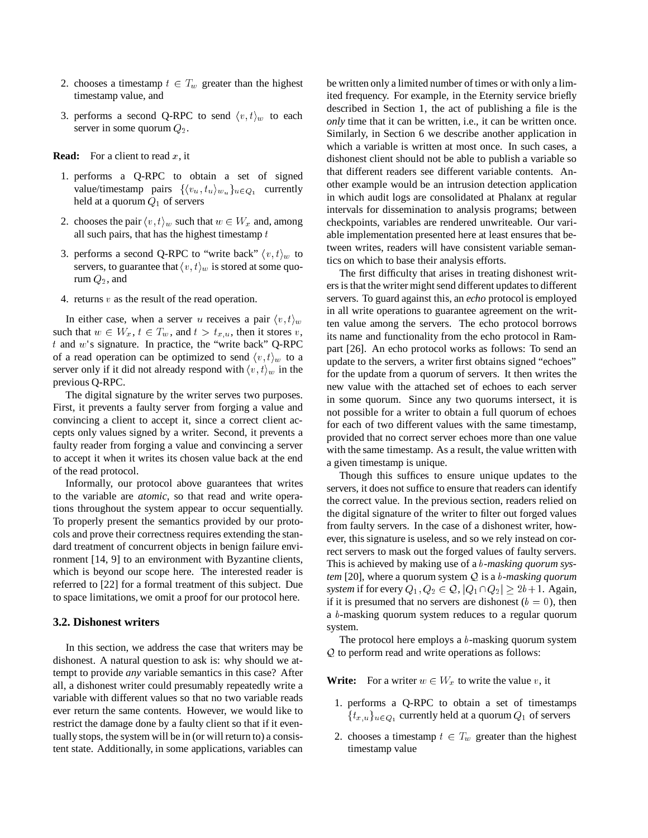- 2. chooses a timestamp  $t \in T_w$  greater than the highest timestamp value, and
- 3. performs a second Q-RPC to send  $\langle v, t \rangle_w$  to each server in some quorum  $Q_2$ .

**Read:** For a client to read x, it

- 1. performs a Q-RPC to obtain a set of signed value/timestamp pairs  $\{\langle v_u, t_u \rangle_{w_u}\}_{u \in Q_1}$  currently held at a quorum  $Q_1$  of servers
- 2. chooses the pair  $\langle v, t \rangle_w$  such that  $w \in W_x$  and, among all such pairs, that has the highest timestamp  $t$
- 3. performs a second Q-RPC to "write back"  $\langle v, t \rangle_w$  to servers, to guarantee that  $\langle v, t \rangle_w$  is stored at some quorum  $Q_2$ , and
- 4. returns <sup>v</sup> as the result of the read operation.

In either case, when a server u receives a pair  $\langle v, t \rangle_w$ such that  $w \in W_x$ ,  $t \in T_w$ , and  $t > t_{x,u}$ , then it stores v,  $t$  and  $w$ 's signature. In practice, the "write back" Q-RPC of a read operation can be optimized to send  $\langle v, t \rangle_w$  to a server only if it did not already respond with  $\langle v, t \rangle_w$  in the previous Q-RPC.

The digital signature by the writer serves two purposes. First, it prevents a faulty server from forging a value and convincing a client to accept it, since a correct client accepts only values signed by a writer. Second, it prevents a faulty reader from forging a value and convincing a server to accept it when it writes its chosen value back at the end of the read protocol.

Informally, our protocol above guarantees that writes to the variable are *atomic*, so that read and write operations throughout the system appear to occur sequentially. To properly present the semantics provided by our protocols and prove their correctness requires extending the standard treatment of concurrent objects in benign failure environment [14, 9] to an environment with Byzantine clients, which is beyond our scope here. The interested reader is referred to [22] for a formal treatment of this subject. Due to space limitations, we omit a proof for our protocol here.

#### **3.2. Dishonest writers**

In this section, we address the case that writers may be dishonest. A natural question to ask is: why should we attempt to provide *any* variable semantics in this case? After all, a dishonest writer could presumably repeatedly write a variable with different values so that no two variable reads ever return the same contents. However, we would like to restrict the damage done by a faulty client so that if it eventually stops, the system will be in (or will return to) a consistent state. Additionally, in some applications, variables can

be written only a limited number of times or with only a limited frequency. For example, in the Eternity service briefly described in Section 1, the act of publishing a file is the *only* time that it can be written, i.e., it can be written once. Similarly, in Section 6 we describe another application in which a variable is written at most once. In such cases, a dishonest client should not be able to publish a variable so that different readers see different variable contents. Another example would be an intrusion detection application in which audit logs are consolidated at Phalanx at regular intervals for dissemination to analysis programs; between checkpoints, variables are rendered unwriteable. Our variable implementation presented here at least ensures that between writes, readers will have consistent variable semantics on which to base their analysis efforts.

The first difficulty that arises in treating dishonest writers is that the writer might send different updates to different servers. To guard against this, an *echo* protocol is employed in all write operations to guarantee agreement on the written value among the servers. The echo protocol borrows its name and functionality from the echo protocol in Rampart [26]. An echo protocol works as follows: To send an update to the servers, a writer first obtains signed "echoes" for the update from a quorum of servers. It then writes the new value with the attached set of echoes to each server in some quorum. Since any two quorums intersect, it is not possible for a writer to obtain a full quorum of echoes for each of two different values with the same timestamp, provided that no correct server echoes more than one value with the same timestamp. As a result, the value written with a given timestamp is unique.

Though this suffices to ensure unique updates to the servers, it does not suffice to ensure that readers can identify the correct value. In the previous section, readers relied on the digital signature of the writer to filter out forged values from faulty servers. In the case of a dishonest writer, however, this signature is useless, and so we rely instead on correct servers to mask out the forged values of faulty servers. This is achieved by making use of a <sup>b</sup>*-masking quorum system* [20], where a quorum system <sup>Q</sup> is a <sup>b</sup>*-masking quorum system* if for every  $Q_1, Q_2 \in \mathcal{Q}, |Q_1 \cap Q_2| \geq 2b+1$ . Again, if it is presumed that no servers are dishonest  $(b = 0)$ , then a <sup>b</sup>-masking quorum system reduces to a regular quorum system.

The protocol here employs a  $b$ -masking quorum system Q to perform read and write operations as follows:

**Write:** For a writer  $w \in W_x$  to write the value v, it

- 1. performs a Q-RPC to obtain a set of timestamps  ${t_{x,u}}_{u \in Q_1}$  currently held at a quorum  $Q_1$  of servers
- 2. chooses a timestamp  $t \in T_w$  greater than the highest timestamp value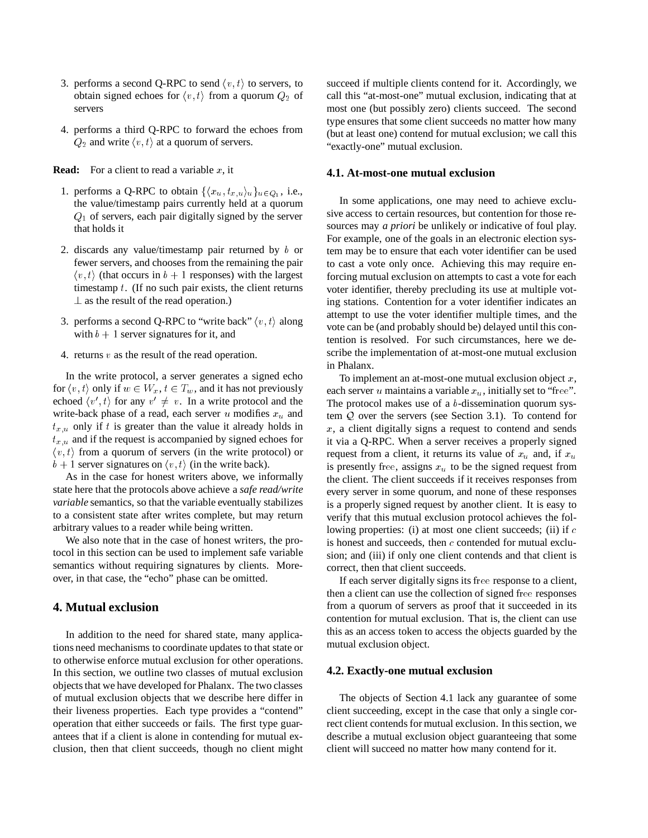- 3. performs a second Q-RPC to send  $\langle v, t \rangle$  to servers, to obtain signed echoes for  $\langle v, t \rangle$  from a quorum  $Q_2$  of servers
- 4. performs a third Q-RPC to forward the echoes from  $Q_2$  and write  $\langle v, t \rangle$  at a quorum of servers.

**Read:** For a client to read a variable x, it

- 1. performs a Q-RPC to obtain  $\{\langle x_u, t_{x,u}\rangle_u\}_{u\in Q_1}$ , i.e., the value/timestamp pairs currently held at a quorum  $Q_1$  of servers, each pair digitally signed by the server that holds it
- 2. discards any value/timestamp pair returned by  *or* fewer servers, and chooses from the remaining the pair  $\langle v, t \rangle$  (that occurs in  $b + 1$  responses) with the largest timestamp  $t$ . (If no such pair exists, the client returns  $\perp$  as the result of the read operation.)
- 3. performs a second Q-RPC to "write back"  $\langle v, t \rangle$  along with  $b + 1$  server signatures for it, and
- 4. returns  $v$  as the result of the read operation.

In the write protocol, a server generates a signed echo for  $\langle v, t \rangle$  only if  $w \in W_x$ ,  $t \in T_w$ , and it has not previously echoed  $\langle v', t \rangle$  for any  $v' \neq v$ . In a write protocol and the write-back phase of a read, each server  $u$  modifies  $x_u$  and  $t_{x,u}$  only if t is greater than the value it already holds in  $t_{x,u}$  and if the request is accompanied by signed echoes for  $\langle v, t \rangle$  from a quorum of servers (in the write protocol) or  $b + 1$  server signatures on  $\langle v, t \rangle$  (in the write back).

As in the case for honest writers above, we informally state here that the protocols above achieve a *safe read/write variable* semantics, so that the variable eventually stabilizes to a consistent state after writes complete, but may return arbitrary values to a reader while being written.

We also note that in the case of honest writers, the protocol in this section can be used to implement safe variable semantics without requiring signatures by clients. Moreover, in that case, the "echo" phase can be omitted.

# **4. Mutual exclusion**

In addition to the need for shared state, many applications need mechanisms to coordinate updates to that state or to otherwise enforce mutual exclusion for other operations. In this section, we outline two classes of mutual exclusion objects that we have developed for Phalanx. The two classes of mutual exclusion objects that we describe here differ in their liveness properties. Each type provides a "contend" operation that either succeeds or fails. The first type guarantees that if a client is alone in contending for mutual exclusion, then that client succeeds, though no client might succeed if multiple clients contend for it. Accordingly, we call this "at-most-one" mutual exclusion, indicating that at most one (but possibly zero) clients succeed. The second type ensures that some client succeeds no matter how many (but at least one) contend for mutual exclusion; we call this "exactly-one" mutual exclusion.

## **4.1. At-most-one mutual exclusion**

In some applications, one may need to achieve exclusive access to certain resources, but contention for those resources may *a priori* be unlikely or indicative of foul play. For example, one of the goals in an electronic election system may be to ensure that each voter identifier can be used to cast a vote only once. Achieving this may require enforcing mutual exclusion on attempts to cast a vote for each voter identifier, thereby precluding its use at multiple voting stations. Contention for a voter identifier indicates an attempt to use the voter identifier multiple times, and the vote can be (and probably should be) delayed until this contention is resolved. For such circumstances, here we describe the implementation of at-most-one mutual exclusion in Phalanx.

To implement an at-most-one mutual exclusion object  $x$ , each server u maintains a variable  $x<sub>u</sub>$ , initially set to "free". The protocol makes use of a <sup>b</sup>-dissemination quorum system <sup>Q</sup> over the servers (see Section 3.1). To contend for  $x$ , a client digitally signs a request to contend and sends it via a Q-RPC. When a server receives a properly signed request from a client, it returns its value of  $x_u$  and, if  $x_u$ is presently free, assigns  $x_u$  to be the signed request from the client. The client succeeds if it receives responses from every server in some quorum, and none of these responses is a properly signed request by another client. It is easy to verify that this mutual exclusion protocol achieves the following properties: (i) at most one client succeeds; (ii) if  $c$ is honest and succeeds, then  $c$  contended for mutual exclusion; and (iii) if only one client contends and that client is correct, then that client succeeds.

If each server digitally signs its free response to a client, then a client can use the collection of signed free responses from a quorum of servers as proof that it succeeded in its contention for mutual exclusion. That is, the client can use this as an access token to access the objects guarded by the mutual exclusion object.

#### **4.2. Exactly-one mutual exclusion**

The objects of Section 4.1 lack any guarantee of some client succeeding, except in the case that only a single correct client contends for mutual exclusion. In this section, we describe a mutual exclusion object guaranteeing that some client will succeed no matter how many contend for it.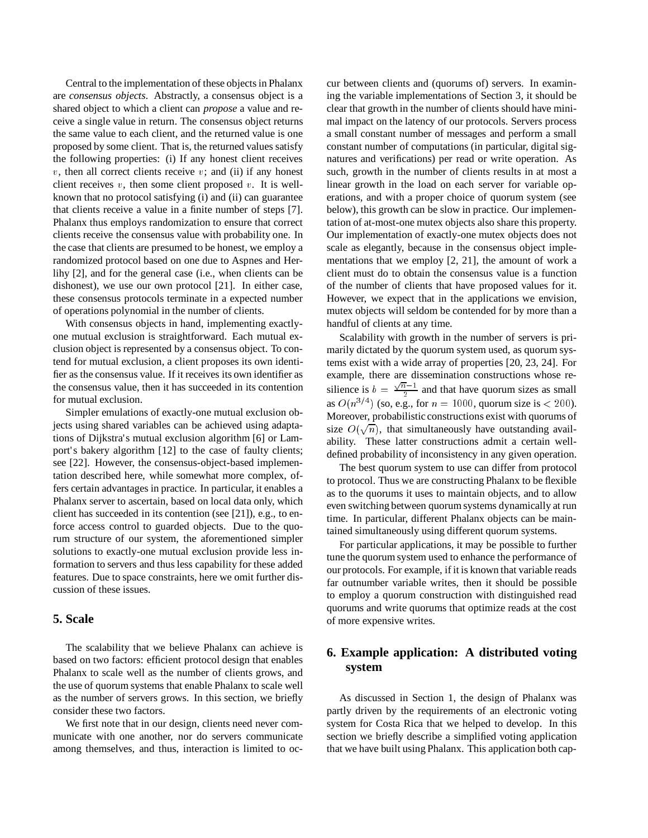Central to the implementation of these objects in Phalanx are *consensus objects*. Abstractly, a consensus object is a shared object to which a client can *propose* a value and receive a single value in return. The consensus object returns the same value to each client, and the returned value is one proposed by some client. That is, the returned values satisfy the following properties: (i) If any honest client receives v, then all correct clients receive v; and (ii) if any honest client receives  $v$ , then some client proposed  $v$ . It is wellknown that no protocol satisfying (i) and (ii) can guarantee that clients receive a value in a finite number of steps [7]. Phalanx thus employs randomization to ensure that correct clients receive the consensus value with probability one. In the case that clients are presumed to be honest, we employ a randomized protocol based on one due to Aspnes and Herlihy [2], and for the general case (i.e., when clients can be dishonest), we use our own protocol [21]. In either case, these consensus protocols terminate in a expected number of operations polynomial in the number of clients.

With consensus objects in hand, implementing exactlyone mutual exclusion is straightforward. Each mutual exclusion object is represented by a consensus object. To contend for mutual exclusion, a client proposes its own identifier as the consensus value. If it receives its own identifier as the consensus value, then it has succeeded in its contention for mutual exclusion.

Simpler emulations of exactly-one mutual exclusion objects using shared variables can be achieved using adaptations of Dijkstra's mutual exclusion algorithm [6] or Lamport's bakery algorithm [12] to the case of faulty clients; see [22]. However, the consensus-object-based implementation described here, while somewhat more complex, offers certain advantages in practice. In particular, it enables a Phalanx server to ascertain, based on local data only, which client has succeeded in its contention (see [21]), e.g., to enforce access control to guarded objects. Due to the quorum structure of our system, the aforementioned simpler solutions to exactly-one mutual exclusion provide less information to servers and thus less capability for these added features. Due to space constraints, here we omit further discussion of these issues.

### **5. Scale**

The scalability that we believe Phalanx can achieve is based on two factors: efficient protocol design that enables Phalanx to scale well as the number of clients grows, and the use of quorum systems that enable Phalanx to scale well as the number of servers grows. In this section, we briefly consider these two factors.

We first note that in our design, clients need never communicate with one another, nor do servers communicate among themselves, and thus, interaction is limited to occur between clients and (quorums of) servers. In examining the variable implementations of Section 3, it should be clear that growth in the number of clients should have minimal impact on the latency of our protocols. Servers process a small constant number of messages and perform a small constant number of computations (in particular, digital signatures and verifications) per read or write operation. As such, growth in the number of clients results in at most a linear growth in the load on each server for variable operations, and with a proper choice of quorum system (see below), this growth can be slow in practice. Our implementation of at-most-one mutex objects also share this property. Our implementation of exactly-one mutex objects does not scale as elegantly, because in the consensus object implementations that we employ [2, 21], the amount of work a client must do to obtain the consensus value is a function of the number of clients that have proposed values for it. However, we expect that in the applications we envision, mutex objects will seldom be contended for by more than a handful of clients at any time.

Scalability with growth in the number of servers is primarily dictated by the quorum system used, as quorum systems exist with a wide array of properties [20, 23, 24]. For example, there are dissemination constructions whose resilience is  $b = \frac{\sqrt{n-1}}{2}$  and that have quorum sizes as small as  $O(n^{3/4})$  (so, e.g., for  $n = 1000$ , quorum size is < 200). Moreover, probabilistic constructions exist with quorums of size  $O(\sqrt{n})$ , that simultaneously have outstanding availability. These latter constructions admit a certain welldefined probability of inconsistency in any given operation.

The best quorum system to use can differ from protocol to protocol. Thus we are constructing Phalanx to be flexible as to the quorums it uses to maintain objects, and to allow even switching between quorum systems dynamically at run time. In particular, different Phalanx objects can be maintained simultaneously using different quorum systems.

For particular applications, it may be possible to further tune the quorum system used to enhance the performance of our protocols. For example, if it is known that variable reads far outnumber variable writes, then it should be possible to employ a quorum construction with distinguished read quorums and write quorums that optimize reads at the cost of more expensive writes.

# **6. Example application: A distributed voting system**

As discussed in Section 1, the design of Phalanx was partly driven by the requirements of an electronic voting system for Costa Rica that we helped to develop. In this section we briefly describe a simplified voting application that we have built using Phalanx. This application both cap-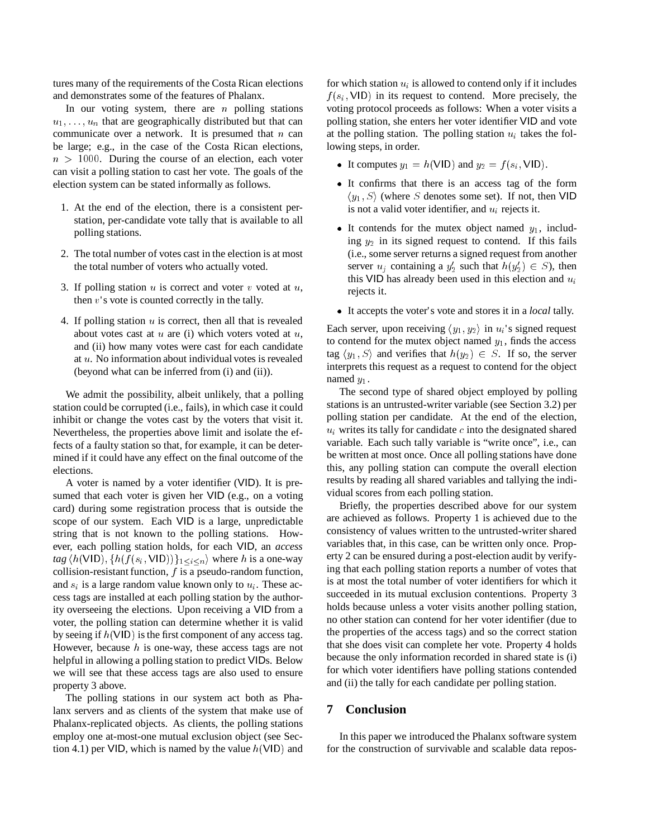tures many of the requirements of the Costa Rican elections and demonstrates some of the features of Phalanx.

In our voting system, there are  $n$  polling stations  $u_1, \ldots, u_n$  that are geographically distributed but that can communicate over a network. It is presumed that  $n$  can be large; e.g., in the case of the Costa Rican elections,  $n > 1000$ . During the course of an election, each voter can visit a polling station to cast her vote. The goals of the election system can be stated informally as follows.

- 1. At the end of the election, there is a consistent perstation, per-candidate vote tally that is available to all polling stations.
- 2. The total number of votes cast in the election is at most the total number of voters who actually voted.
- 3. If polling station  $u$  is correct and voter  $v$  voted at  $u$ , then <sup>v</sup>'s vote is counted correctly in the tally.
- 4. If polling station  $u$  is correct, then all that is revealed about votes cast at  $u$  are (i) which voters voted at  $u$ , and (ii) how many votes were cast for each candidate at <sup>u</sup>. No information about individual votes is revealed (beyond what can be inferred from (i) and (ii)).

We admit the possibility, albeit unlikely, that a polling station could be corrupted (i.e., fails), in which case it could inhibit or change the votes cast by the voters that visit it. Nevertheless, the properties above limit and isolate the effects of a faulty station so that, for example, it can be determined if it could have any effect on the final outcome of the elections.

A voter is named by a voter identifier (VID). It is presumed that each voter is given her VID (e.g., on a voting card) during some registration process that is outside the scope of our system. Each VID is a large, unpredictable string that is not known to the polling stations. However, each polling station holds, for each VID, an *access tag*  $\langle h(VID), \{h(f(s_i, VID))\}\rangle_{1 \leq i \leq n}$  where h is a one-way collision-resistant function, <sup>f</sup> is a pseudo-random function, and  $s_i$  is a large random value known only to  $u_i$ . These access tags are installed at each polling station by the authority overseeing the elections. Upon receiving a VID from a voter, the polling station can determine whether it is valid by seeing if  $h(VID)$  is the first component of any access tag. However, because  $h$  is one-way, these access tags are not helpful in allowing a polling station to predict VIDs. Below we will see that these access tags are also used to ensure property 3 above.

The polling stations in our system act both as Phalanx servers and as clients of the system that make use of Phalanx-replicated objects. As clients, the polling stations employ one at-most-one mutual exclusion object (see Section 4.1) per VID, which is named by the value  $h(V|D)$  and for which station  $u_i$  is allowed to contend only if it includes  $f(s_i, VID)$  in its request to contend. More precisely, the voting protocol proceeds as follows: When a voter visits a polling station, she enters her voter identifier VID and vote at the polling station. The polling station  $u_i$  takes the following steps, in order.

- It computes  $y_1 = h(VID)$  and  $y_2 = f(s_i, VID)$ .
- It confirms that there is an access tag of the form  $\langle y_1, S \rangle$  (where S denotes some set). If not, then VID is not a valid voter identifier, and  $u_i$  rejects it.
- It contends for the mutex object named  $y_1$ , including  $y_2$  in its signed request to contend. If this fails (i.e., some server returns a signed request from another server  $u_j$  containing a  $y_2'$  such that  $h(y_2') \in S$ ), then this VID has already been used in this election and  $u_i$ rejects it.
- It accepts the voter's vote and stores it in a *local* tally.

Each server, upon receiving  $\langle y_1, y_2 \rangle$  in  $u_i$ 's signed request to contend for the mutex object named  $y_1$ , finds the access tag  $\langle y_1, S \rangle$  and verifies that  $h(y_2) \in S$ . If so, the server interprets this request as a request to contend for the object named  $y_1$ .

The second type of shared object employed by polling stations is an untrusted-writer variable (see Section 3.2) per polling station per candidate. At the end of the election,  $u_i$  writes its tally for candidate c into the designated shared variable. Each such tally variable is "write once", i.e., can be written at most once. Once all polling stations have done this, any polling station can compute the overall election results by reading all shared variables and tallying the individual scores from each polling station.

Briefly, the properties described above for our system are achieved as follows. Property 1 is achieved due to the consistency of values written to the untrusted-writer shared variables that, in this case, can be written only once. Property 2 can be ensured during a post-election audit by verifying that each polling station reports a number of votes that is at most the total number of voter identifiers for which it succeeded in its mutual exclusion contentions. Property 3 holds because unless a voter visits another polling station, no other station can contend for her voter identifier (due to the properties of the access tags) and so the correct station that she does visit can complete her vote. Property 4 holds because the only information recorded in shared state is (i) for which voter identifiers have polling stations contended and (ii) the tally for each candidate per polling station.

# **7 Conclusion**

In this paper we introduced the Phalanx software system for the construction of survivable and scalable data repos